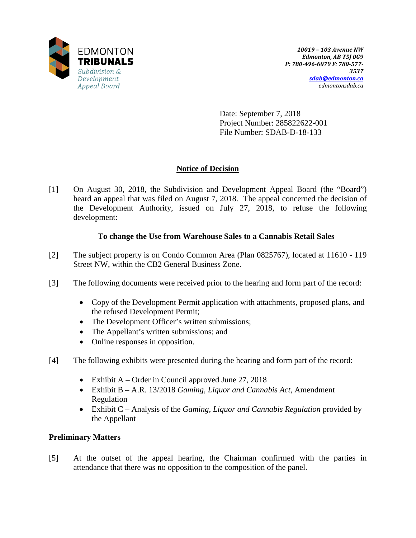

Date: September 7, 2018 Project Number: 285822622-001 File Number: SDAB-D-18-133

# **Notice of Decision**

[1] On August 30, 2018, the Subdivision and Development Appeal Board (the "Board") heard an appeal that was filed on August 7, 2018. The appeal concerned the decision of the Development Authority, issued on July 27, 2018, to refuse the following development:

## **To change the Use from Warehouse Sales to a Cannabis Retail Sales**

- [2] The subject property is on Condo Common Area (Plan 0825767), located at 11610 119 Street NW, within the CB2 General Business Zone.
- [3] The following documents were received prior to the hearing and form part of the record:
	- Copy of the Development Permit application with attachments, proposed plans, and the refused Development Permit;
	- The Development Officer's written submissions;
	- The Appellant's written submissions; and
	- Online responses in opposition.
- [4] The following exhibits were presented during the hearing and form part of the record:
	- Exhibit A Order in Council approved June 27, 2018
	- Exhibit B A.R. 13/2018 *Gaming, Liquor and Cannabis Act*, Amendment Regulation
	- Exhibit C Analysis of the *Gaming, Liquor and Cannabis Regulation* provided by the Appellant

## **Preliminary Matters**

[5] At the outset of the appeal hearing, the Chairman confirmed with the parties in attendance that there was no opposition to the composition of the panel.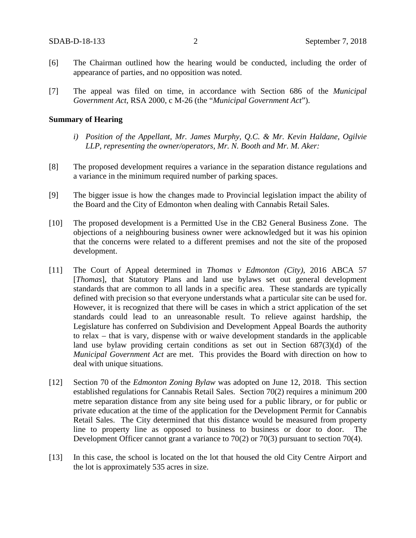- [6] The Chairman outlined how the hearing would be conducted, including the order of appearance of parties, and no opposition was noted.
- [7] The appeal was filed on time, in accordance with Section 686 of the *Municipal Government Act*, RSA 2000, c M-26 (the "*Municipal Government Act*").

#### **Summary of Hearing**

- *i) Position of the Appellant, Mr. James Murphy, Q.C. & Mr. Kevin Haldane, Ogilvie LLP, representing the owner/operators, Mr. N. Booth and Mr. M. Aker:*
- [8] The proposed development requires a variance in the separation distance regulations and a variance in the minimum required number of parking spaces.
- [9] The bigger issue is how the changes made to Provincial legislation impact the ability of the Board and the City of Edmonton when dealing with Cannabis Retail Sales.
- [10] The proposed development is a Permitted Use in the CB2 General Business Zone. The objections of a neighbouring business owner were acknowledged but it was his opinion that the concerns were related to a different premises and not the site of the proposed development.
- [11] The Court of Appeal determined in *Thomas v Edmonton (City)*, 2016 ABCA 57 [*Thomas*], that Statutory Plans and land use bylaws set out general development standards that are common to all lands in a specific area. These standards are typically defined with precision so that everyone understands what a particular site can be used for. However, it is recognized that there will be cases in which a strict application of the set standards could lead to an unreasonable result. To relieve against hardship, the Legislature has conferred on Subdivision and Development Appeal Boards the authority to relax – that is vary, dispense with or waive development standards in the applicable land use bylaw providing certain conditions as set out in Section 687(3)(d) of the *Municipal Government Act* are met. This provides the Board with direction on how to deal with unique situations.
- [12] Section 70 of the *Edmonton Zoning Bylaw* was adopted on June 12, 2018. This section established regulations for Cannabis Retail Sales. Section 70(2) requires a minimum 200 metre separation distance from any site being used for a public library, or for public or private education at the time of the application for the Development Permit for Cannabis Retail Sales. The City determined that this distance would be measured from property line to property line as opposed to business to business or door to door. The Development Officer cannot grant a variance to 70(2) or 70(3) pursuant to section 70(4).
- [13] In this case, the school is located on the lot that housed the old City Centre Airport and the lot is approximately 535 acres in size.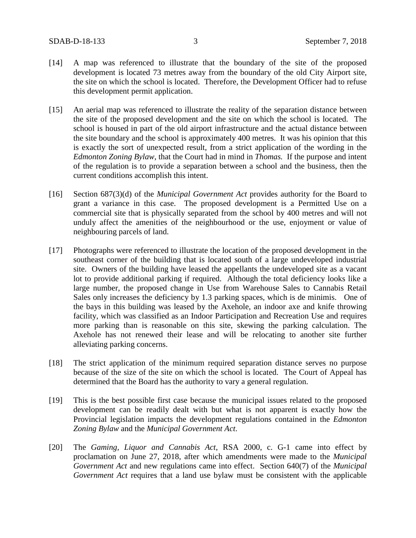- [14] A map was referenced to illustrate that the boundary of the site of the proposed development is located 73 metres away from the boundary of the old City Airport site, the site on which the school is located. Therefore, the Development Officer had to refuse this development permit application.
- [15] An aerial map was referenced to illustrate the reality of the separation distance between the site of the proposed development and the site on which the school is located. The school is housed in part of the old airport infrastructure and the actual distance between the site boundary and the school is approximately 400 metres. It was his opinion that this is exactly the sort of unexpected result, from a strict application of the wording in the *Edmonton Zoning Bylaw*, that the Court had in mind in *Thomas.* If the purpose and intent of the regulation is to provide a separation between a school and the business, then the current conditions accomplish this intent.
- [16] Section 687(3)(d) of the *Municipal Government Act* provides authority for the Board to grant a variance in this case. The proposed development is a Permitted Use on a commercial site that is physically separated from the school by 400 metres and will not unduly affect the amenities of the neighbourhood or the use, enjoyment or value of neighbouring parcels of land.
- [17] Photographs were referenced to illustrate the location of the proposed development in the southeast corner of the building that is located south of a large undeveloped industrial site. Owners of the building have leased the appellants the undeveloped site as a vacant lot to provide additional parking if required. Although the total deficiency looks like a large number, the proposed change in Use from Warehouse Sales to Cannabis Retail Sales only increases the deficiency by 1.3 parking spaces, which is de minimis. One of the bays in this building was leased by the Axehole, an indoor axe and knife throwing facility, which was classified as an Indoor Participation and Recreation Use and requires more parking than is reasonable on this site, skewing the parking calculation. The Axehole has not renewed their lease and will be relocating to another site further alleviating parking concerns.
- [18] The strict application of the minimum required separation distance serves no purpose because of the size of the site on which the school is located. The Court of Appeal has determined that the Board has the authority to vary a general regulation.
- [19] This is the best possible first case because the municipal issues related to the proposed development can be readily dealt with but what is not apparent is exactly how the Provincial legislation impacts the development regulations contained in the *Edmonton Zoning Bylaw* and the *Municipal Government Act*.
- [20] The *Gaming, Liquor and Cannabis Act*, RSA 2000, c. G-1 came into effect by proclamation on June 27, 2018, after which amendments were made to the *Municipal Government Act* and new regulations came into effect. Section 640(7) of the *Municipal Government Act* requires that a land use bylaw must be consistent with the applicable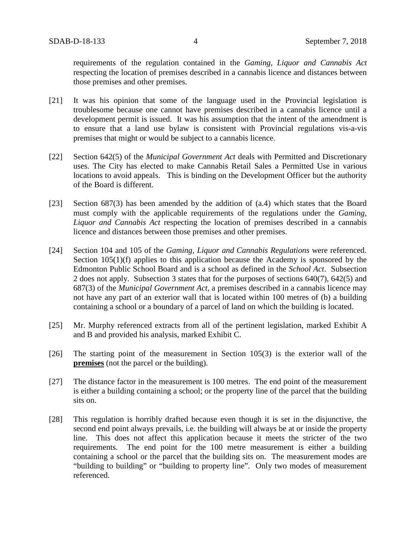requirements of the regulation contained in the *Gaming, Liquor and Cannabis Act* respecting the location of premises described in a cannabis licence and distances between those premises and other premises.

- [21] It was his opinion that some of the language used in the Provincial legislation is troublesome because one cannot have premises described in a cannabis licence until a development permit is issued. It was his assumption that the intent of the amendment is to ensure that a land use bylaw is consistent with Provincial regulations vis-a-vis premises that might or would be subject to a cannabis licence.
- [22] Section 642(5) of the *Municipal Government Act* deals with Permitted and Discretionary uses. The City has elected to make Cannabis Retail Sales a Permitted Use in various locations to avoid appeals. This is binding on the Development Officer but the authority of the Board is different.
- [23] Section 687(3) has been amended by the addition of (a.4) which states that the Board must comply with the applicable requirements of the regulations under the *Gaming, Liquor and Cannabis Act* respecting the location of premises described in a cannabis licence and distances between those premises and other premises.
- [24] Section 104 and 105 of the *Gaming, Liquor and Cannabis Regulations* were referenced. Section 105(1)(f) applies to this application because the Academy is sponsored by the Edmonton Public School Board and is a school as defined in the *School Act*. Subsection 2 does not apply. Subsection 3 states that for the purposes of sections 640(7), 642(5) and 687(3) of the *Municipal Government Act*, a premises described in a cannabis licence may not have any part of an exterior wall that is located within 100 metres of (b) a building containing a school or a boundary of a parcel of land on which the building is located.
- [25] Mr. Murphy referenced extracts from all of the pertinent legislation, marked Exhibit A and B and provided his analysis, marked Exhibit C.
- [26] The starting point of the measurement in Section 105(3) is the exterior wall of the **premises** (not the parcel or the building).
- [27] The distance factor in the measurement is 100 metres. The end point of the measurement is either a building containing a school; or the property line of the parcel that the building sits on.
- [28] This regulation is horribly drafted because even though it is set in the disjunctive, the second end point always prevails, i.e. the building will always be at or inside the property line. This does not affect this application because it meets the stricter of the two requirements. The end point for the 100 metre measurement is either a building containing a school or the parcel that the building sits on. The measurement modes are "building to building" or "building to property line". Only two modes of measurement referenced.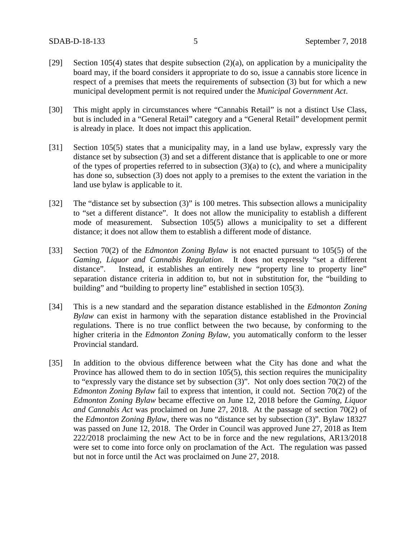- [29] Section 105(4) states that despite subsection  $(2)(a)$ , on application by a municipality the board may, if the board considers it appropriate to do so, issue a cannabis store licence in respect of a premises that meets the requirements of subsection (3) but for which a new municipal development permit is not required under the *Municipal Government Act*.
- [30] This might apply in circumstances where "Cannabis Retail" is not a distinct Use Class, but is included in a "General Retail" category and a "General Retail" development permit is already in place. It does not impact this application.
- [31] Section 105(5) states that a municipality may, in a land use bylaw, expressly vary the distance set by subsection (3) and set a different distance that is applicable to one or more of the types of properties referred to in subsection  $(3)(a)$  to  $(c)$ , and where a municipality has done so, subsection (3) does not apply to a premises to the extent the variation in the land use bylaw is applicable to it.
- [32] The "distance set by subsection (3)" is 100 metres. This subsection allows a municipality to "set a different distance". It does not allow the municipality to establish a different mode of measurement. Subsection 105(5) allows a municipality to set a different distance; it does not allow them to establish a different mode of distance.
- [33] Section 70(2) of the *Edmonton Zoning Bylaw* is not enacted pursuant to 105(5) of the *Gaming, Liquor and Cannabis Regulation*. It does not expressly "set a different distance". Instead, it establishes an entirely new "property line to property line" separation distance criteria in addition to, but not in substitution for, the "building to building" and "building to property line" established in section 105(3).
- [34] This is a new standard and the separation distance established in the *Edmonton Zoning Bylaw* can exist in harmony with the separation distance established in the Provincial regulations. There is no true conflict between the two because, by conforming to the higher criteria in the *Edmonton Zoning Bylaw*, you automatically conform to the lesser Provincial standard.
- [35] In addition to the obvious difference between what the City has done and what the Province has allowed them to do in section 105(5), this section requires the municipality to "expressly vary the distance set by subsection (3)". Not only does section 70(2) of the *Edmonton Zoning Bylaw* fail to express that intention, it could not. Section 70(2) of the *Edmonton Zoning Bylaw* became effective on June 12, 2018 before the *Gaming, Liquor and Cannabis Act* was proclaimed on June 27, 2018. At the passage of section 70(2) of the *Edmonton Zoning Bylaw*, there was no "distance set by subsection (3)". Bylaw 18327 was passed on June 12, 2018. The Order in Council was approved June 27, 2018 as Item 222/2018 proclaiming the new Act to be in force and the new regulations, AR13/2018 were set to come into force only on proclamation of the Act. The regulation was passed but not in force until the Act was proclaimed on June 27, 2018.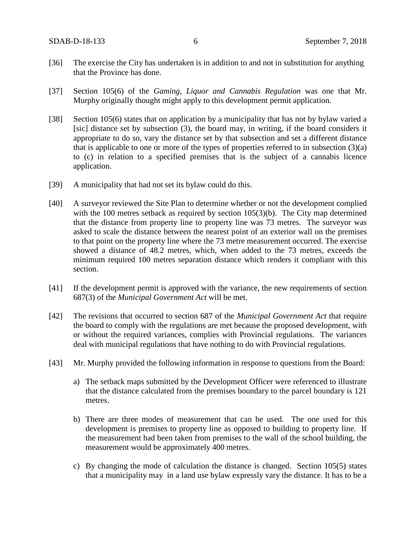- [36] The exercise the City has undertaken is in addition to and not in substitution for anything that the Province has done.
- [37] Section 105(6) of the *Gaming, Liquor and Cannabis Regulation* was one that Mr. Murphy originally thought might apply to this development permit application.
- [38] Section 105(6) states that on application by a municipality that has not by bylaw varied a [sic] distance set by subsection (3), the board may, in writing, if the board considers it appropriate to do so, vary the distance set by that subsection and set a different distance that is applicable to one or more of the types of properties referred to in subsection (3)(a) to (c) in relation to a specified premises that is the subject of a cannabis licence application.
- [39] A municipality that had not set its bylaw could do this.
- [40] A surveyor reviewed the Site Plan to determine whether or not the development complied with the 100 metres setback as required by section 105(3)(b). The City map determined that the distance from property line to property line was 73 metres. The surveyor was asked to scale the distance between the nearest point of an exterior wall on the premises to that point on the property line where the 73 metre measurement occurred. The exercise showed a distance of 48.2 metres, which, when added to the 73 metres, exceeds the minimum required 100 metres separation distance which renders it compliant with this section.
- [41] If the development permit is approved with the variance, the new requirements of section 687(3) of the *Municipal Government Act* will be met.
- [42] The revisions that occurred to section 687 of the *Municipal Government Act* that require the board to comply with the regulations are met because the proposed development, with or without the required variances, complies with Provincial regulations. The variances deal with municipal regulations that have nothing to do with Provincial regulations.
- [43] Mr. Murphy provided the following information in response to questions from the Board:
	- a) The setback maps submitted by the Development Officer were referenced to illustrate that the distance calculated from the premises boundary to the parcel boundary is 121 metres.
	- b) There are three modes of measurement that can be used. The one used for this development is premises to property line as opposed to building to property line. If the measurement had been taken from premises to the wall of the school building, the measurement would be approximately 400 metres.
	- c) By changing the mode of calculation the distance is changed. Section 105(5) states that a municipality may in a land use bylaw expressly vary the distance. It has to be a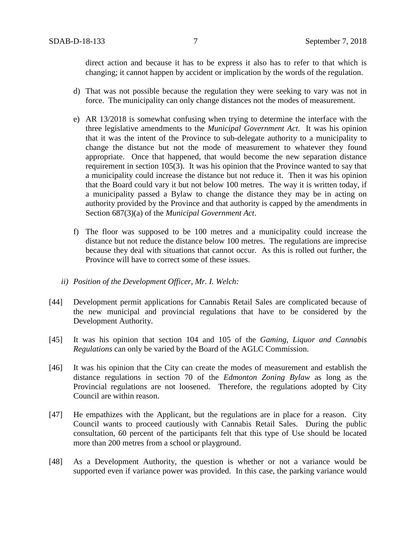direct action and because it has to be express it also has to refer to that which is changing; it cannot happen by accident or implication by the words of the regulation.

- d) That was not possible because the regulation they were seeking to vary was not in force. The municipality can only change distances not the modes of measurement.
- e) AR 13/2018 is somewhat confusing when trying to determine the interface with the three legislative amendments to the *Municipal Government Act*. It was his opinion that it was the intent of the Province to sub-delegate authority to a municipality to change the distance but not the mode of measurement to whatever they found appropriate. Once that happened, that would become the new separation distance requirement in section 105(3). It was his opinion that the Province wanted to say that a municipality could increase the distance but not reduce it. Then it was his opinion that the Board could vary it but not below 100 metres. The way it is written today, if a municipality passed a Bylaw to change the distance they may be in acting on authority provided by the Province and that authority is capped by the amendments in Section 687(3)(a) of the *Municipal Government Act*.
- f) The floor was supposed to be 100 metres and a municipality could increase the distance but not reduce the distance below 100 metres. The regulations are imprecise because they deal with situations that cannot occur. As this is rolled out further, the Province will have to correct some of these issues.
- *ii) Position of the Development Officer, Mr. I. Welch:*
- [44] Development permit applications for Cannabis Retail Sales are complicated because of the new municipal and provincial regulations that have to be considered by the Development Authority.
- [45] It was his opinion that section 104 and 105 of the *Gaming, Liquor and Cannabis Regulations* can only be varied by the Board of the AGLC Commission.
- [46] It was his opinion that the City can create the modes of measurement and establish the distance regulations in section 70 of the *Edmonton Zoning Bylaw* as long as the Provincial regulations are not loosened. Therefore, the regulations adopted by City Council are within reason.
- [47] He empathizes with the Applicant, but the regulations are in place for a reason. City Council wants to proceed cautiously with Cannabis Retail Sales. During the public consultation, 60 percent of the participants felt that this type of Use should be located more than 200 metres from a school or playground.
- [48] As a Development Authority, the question is whether or not a variance would be supported even if variance power was provided. In this case, the parking variance would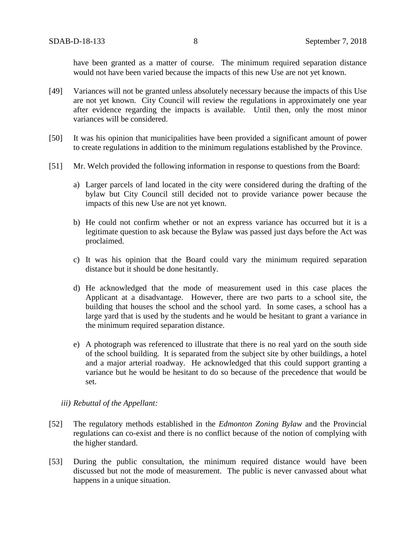have been granted as a matter of course. The minimum required separation distance would not have been varied because the impacts of this new Use are not yet known.

- [49] Variances will not be granted unless absolutely necessary because the impacts of this Use are not yet known. City Council will review the regulations in approximately one year after evidence regarding the impacts is available. Until then, only the most minor variances will be considered.
- [50] It was his opinion that municipalities have been provided a significant amount of power to create regulations in addition to the minimum regulations established by the Province.
- [51] Mr. Welch provided the following information in response to questions from the Board:
	- a) Larger parcels of land located in the city were considered during the drafting of the bylaw but City Council still decided not to provide variance power because the impacts of this new Use are not yet known.
	- b) He could not confirm whether or not an express variance has occurred but it is a legitimate question to ask because the Bylaw was passed just days before the Act was proclaimed.
	- c) It was his opinion that the Board could vary the minimum required separation distance but it should be done hesitantly.
	- d) He acknowledged that the mode of measurement used in this case places the Applicant at a disadvantage. However, there are two parts to a school site, the building that houses the school and the school yard. In some cases, a school has a large yard that is used by the students and he would be hesitant to grant a variance in the minimum required separation distance.
	- e) A photograph was referenced to illustrate that there is no real yard on the south side of the school building. It is separated from the subject site by other buildings, a hotel and a major arterial roadway. He acknowledged that this could support granting a variance but he would be hesitant to do so because of the precedence that would be set.
	- *iii) Rebuttal of the Appellant:*
- [52] The regulatory methods established in the *Edmonton Zoning Bylaw* and the Provincial regulations can co-exist and there is no conflict because of the notion of complying with the higher standard.
- [53] During the public consultation, the minimum required distance would have been discussed but not the mode of measurement. The public is never canvassed about what happens in a unique situation.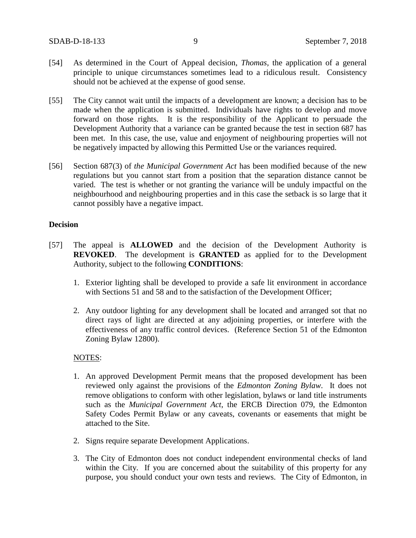- [54] As determined in the Court of Appeal decision, *Thomas,* the application of a general principle to unique circumstances sometimes lead to a ridiculous result. Consistency should not be achieved at the expense of good sense.
- [55] The City cannot wait until the impacts of a development are known; a decision has to be made when the application is submitted. Individuals have rights to develop and move forward on those rights. It is the responsibility of the Applicant to persuade the Development Authority that a variance can be granted because the test in section 687 has been met. In this case, the use, value and enjoyment of neighbouring properties will not be negatively impacted by allowing this Permitted Use or the variances required.
- [56] Section 687(3) of *the Municipal Government Act* has been modified because of the new regulations but you cannot start from a position that the separation distance cannot be varied. The test is whether or not granting the variance will be unduly impactful on the neighbourhood and neighbouring properties and in this case the setback is so large that it cannot possibly have a negative impact.

#### **Decision**

- [57] The appeal is **ALLOWED** and the decision of the Development Authority is **REVOKED**. The development is **GRANTED** as applied for to the Development Authority, subject to the following **CONDITIONS**:
	- 1. Exterior lighting shall be developed to provide a safe lit environment in accordance with Sections 51 and 58 and to the satisfaction of the Development Officer;
	- 2. Any outdoor lighting for any development shall be located and arranged sot that no direct rays of light are directed at any adjoining properties, or interfere with the effectiveness of any traffic control devices. (Reference Section 51 of the Edmonton Zoning Bylaw 12800).

#### NOTES:

- 1. An approved Development Permit means that the proposed development has been reviewed only against the provisions of the *Edmonton Zoning Bylaw*. It does not remove obligations to conform with other legislation, bylaws or land title instruments such as the *Municipal Government Act*, the ERCB Direction 079, the Edmonton Safety Codes Permit Bylaw or any caveats, covenants or easements that might be attached to the Site.
- 2. Signs require separate Development Applications.
- 3. The City of Edmonton does not conduct independent environmental checks of land within the City. If you are concerned about the suitability of this property for any purpose, you should conduct your own tests and reviews. The City of Edmonton, in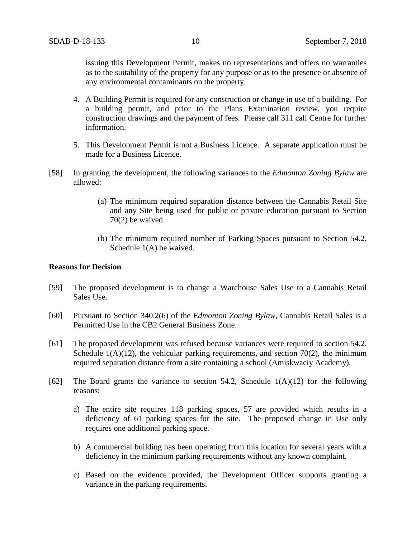issuing this Development Permit, makes no representations and offers no warranties as to the suitability of the property for any purpose or as to the presence or absence of any environmental contaminants on the property.

- 4. A Building Permit is required for any construction or change in use of a building. For a building permit, and prior to the Plans Examination review, you require construction drawings and the payment of fees. Please call 311 call Centre for further information.
- 5. This Development Permit is not a Business Licence. A separate application must be made for a Business Licence.
- [58] In granting the development, the following variances to the *Edmonton Zoning Bylaw* are allowed:
	- (a) The minimum required separation distance between the Cannabis Retail Site and any Site being used for public or private education pursuant to Section 70(2) be waived.
	- (b) The minimum required number of Parking Spaces pursuant to Section 54.2, Schedule 1(A) be waived.

### **Reasons for Decision**

- [59] The proposed development is to change a Warehouse Sales Use to a Cannabis Retail Sales Use.
- [60] Pursuant to Section 340.2(6) of the *Edmonton Zoning Bylaw*, Cannabis Retail Sales is a Permitted Use in the CB2 General Business Zone.
- [61] The proposed development was refused because variances were required to section 54.2, Schedule  $1(A)(12)$ , the vehicular parking requirements, and section 70(2), the minimum required separation distance from a site containing a school (Amiskwaciy Academy).
- [62] The Board grants the variance to section 54.2, Schedule  $1(A)(12)$  for the following reasons:
	- a) The entire site requires 118 parking spaces, 57 are provided which results in a deficiency of 61 parking spaces for the site. The proposed change in Use only requires one additional parking space.
	- b) A commercial building has been operating from this location for several years with a deficiency in the minimum parking requirements without any known complaint.
	- c) Based on the evidence provided, the Development Officer supports granting a variance in the parking requirements.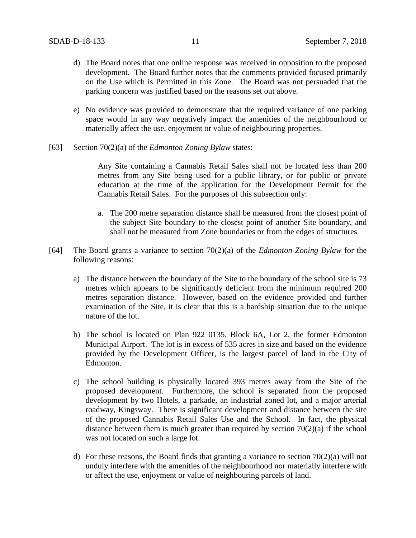- d) The Board notes that one online response was received in opposition to the proposed development. The Board further notes that the comments provided focused primarily on the Use which is Permitted in this Zone. The Board was not persuaded that the parking concern was justified based on the reasons set out above.
- e) No evidence was provided to demonstrate that the required variance of one parking space would in any way negatively impact the amenities of the neighbourhood or materially affect the use, enjoyment or value of neighbouring properties.
- [63] Section 70(2)(a) of the *Edmonton Zoning Bylaw* states:

Any Site containing a Cannabis Retail Sales shall not be located less than 200 metres from any Site being used for a public library, or for public or private education at the time of the application for the Development Permit for the Cannabis Retail Sales. For the purposes of this subsection only:

- a. The 200 metre separation distance shall be measured from the closest point of the subject Site boundary to the closest point of another Site boundary, and shall not be measured from Zone boundaries or from the edges of structures
- [64] The Board grants a variance to section 70(2)(a) of the *Edmonton Zoning Bylaw* for the following reasons:
	- a) The distance between the boundary of the Site to the boundary of the school site is 73 metres which appears to be significantly deficient from the minimum required 200 metres separation distance. However, based on the evidence provided and further examination of the Site, it is clear that this is a hardship situation due to the unique nature of the lot.
	- b) The school is located on Plan 922 0135, Block 6A, Lot 2, the former Edmonton Municipal Airport. The lot is in excess of 535 acres in size and based on the evidence provided by the Development Officer, is the largest parcel of land in the City of Edmonton.
	- c) The school building is physically located 393 metres away from the Site of the proposed development. Furthermore, the school is separated from the proposed development by two Hotels, a parkade, an industrial zoned lot, and a major arterial roadway, Kingsway. There is significant development and distance between the site of the proposed Cannabis Retail Sales Use and the School. In fact, the physical distance between them is much greater than required by section 70(2)(a) if the school was not located on such a large lot.
	- d) For these reasons, the Board finds that granting a variance to section 70(2)(a) will not unduly interfere with the amenities of the neighbourhood nor materially interfere with or affect the use, enjoyment or value of neighbouring parcels of land.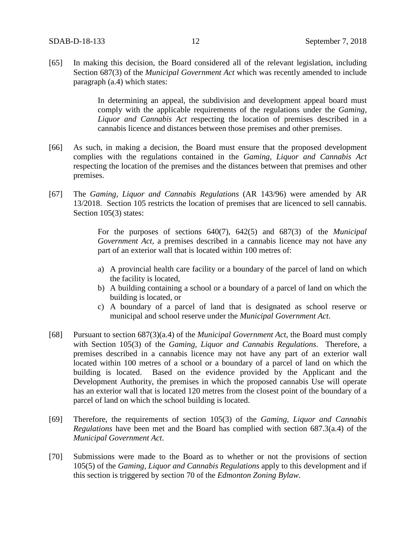[65] In making this decision, the Board considered all of the relevant legislation, including Section 687(3) of the *Municipal Government Act* which was recently amended to include paragraph (a.4) which states:

> In determining an appeal, the subdivision and development appeal board must comply with the applicable requirements of the regulations under the *Gaming, Liquor and Cannabis Act* respecting the location of premises described in a cannabis licence and distances between those premises and other premises.

- [66] As such, in making a decision, the Board must ensure that the proposed development complies with the regulations contained in the *Gaming, Liquor and Cannabis Act* respecting the location of the premises and the distances between that premises and other premises.
- [67] The *Gaming, Liquor and Cannabis Regulations* (AR 143/96) were amended by AR 13/2018. Section 105 restricts the location of premises that are licenced to sell cannabis. Section 105(3) states:

For the purposes of sections 640(7), 642(5) and 687(3) of the *Municipal Government Act*, a premises described in a cannabis licence may not have any part of an exterior wall that is located within 100 metres of:

- a) A provincial health care facility or a boundary of the parcel of land on which the facility is located,
- b) A building containing a school or a boundary of a parcel of land on which the building is located, or
- c) A boundary of a parcel of land that is designated as school reserve or municipal and school reserve under the *Municipal Government Act*.
- [68] Pursuant to section 687(3)(a.4) of the *Municipal Government Act*, the Board must comply with Section 105(3) of the *Gaming, Liquor and Cannabis Regulations*. Therefore, a premises described in a cannabis licence may not have any part of an exterior wall located within 100 metres of a school or a boundary of a parcel of land on which the building is located. Based on the evidence provided by the Applicant and the Development Authority, the premises in which the proposed cannabis Use will operate has an exterior wall that is located 120 metres from the closest point of the boundary of a parcel of land on which the school building is located.
- [69] Therefore, the requirements of section 105(3) of the *Gaming, Liquor and Cannabis Regulations* have been met and the Board has complied with section 687.3(a.4) of the *Municipal Government Act*.
- [70] Submissions were made to the Board as to whether or not the provisions of section 105(5) of the *Gaming, Liquor and Cannabis Regulations* apply to this development and if this section is triggered by section 70 of the *Edmonton Zoning Bylaw*.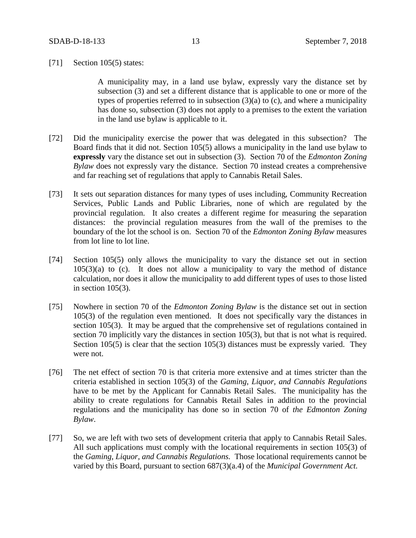#### [71] Section 105(5) states:

A municipality may, in a land use bylaw, expressly vary the distance set by subsection (3) and set a different distance that is applicable to one or more of the types of properties referred to in subsection  $(3)(a)$  to  $(c)$ , and where a municipality has done so, subsection (3) does not apply to a premises to the extent the variation in the land use bylaw is applicable to it.

- [72] Did the municipality exercise the power that was delegated in this subsection? The Board finds that it did not. Section 105(5) allows a municipality in the land use bylaw to **expressly** vary the distance set out in subsection (3). Section 70 of the *Edmonton Zoning Bylaw* does not expressly vary the distance. Section 70 instead creates a comprehensive and far reaching set of regulations that apply to Cannabis Retail Sales.
- [73] It sets out separation distances for many types of uses including, Community Recreation Services, Public Lands and Public Libraries, none of which are regulated by the provincial regulation. It also creates a different regime for measuring the separation distances: the provincial regulation measures from the wall of the premises to the boundary of the lot the school is on. Section 70 of the *Edmonton Zoning Bylaw* measures from lot line to lot line.
- [74] Section 105(5) only allows the municipality to vary the distance set out in section  $105(3)(a)$  to (c). It does not allow a municipality to vary the method of distance calculation, nor does it allow the municipality to add different types of uses to those listed in section 105(3).
- [75] Nowhere in section 70 of the *Edmonton Zoning Bylaw* is the distance set out in section 105(3) of the regulation even mentioned. It does not specifically vary the distances in section 105(3). It may be argued that the comprehensive set of regulations contained in section 70 implicitly vary the distances in section 105(3), but that is not what is required. Section 105(5) is clear that the section 105(3) distances must be expressly varied. They were not.
- [76] The net effect of section 70 is that criteria more extensive and at times stricter than the criteria established in section 105(3) of the *Gaming, Liquor, and Cannabis Regulations* have to be met by the Applicant for Cannabis Retail Sales. The municipality has the ability to create regulations for Cannabis Retail Sales in addition to the provincial regulations and the municipality has done so in section 70 of *the Edmonton Zoning Bylaw*.
- [77] So, we are left with two sets of development criteria that apply to Cannabis Retail Sales. All such applications must comply with the locational requirements in section 105(3) of the *Gaming, Liquor, and Cannabis Regulations.* Those locational requirements cannot be varied by this Board, pursuant to section 687(3)(a.4) of the *Municipal Government Act.*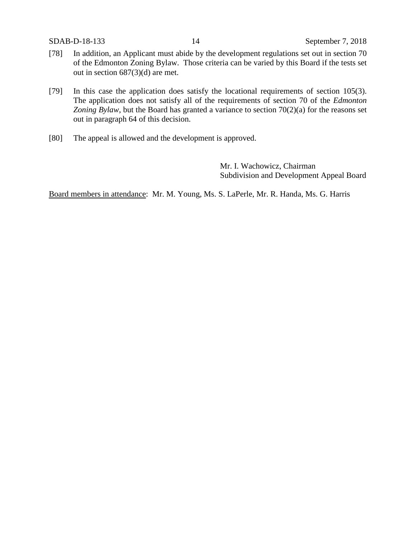- [78] In addition, an Applicant must abide by the development regulations set out in section 70 of the Edmonton Zoning Bylaw. Those criteria can be varied by this Board if the tests set out in section 687(3)(d) are met.
- [79] In this case the application does satisfy the locational requirements of section 105(3). The application does not satisfy all of the requirements of section 70 of the *Edmonton Zoning Bylaw*, but the Board has granted a variance to section 70(2)(a) for the reasons set out in paragraph 64 of this decision.
- [80] The appeal is allowed and the development is approved.

Mr. I. Wachowicz, Chairman Subdivision and Development Appeal Board

Board members in attendance: Mr. M. Young, Ms. S. LaPerle, Mr. R. Handa, Ms. G. Harris